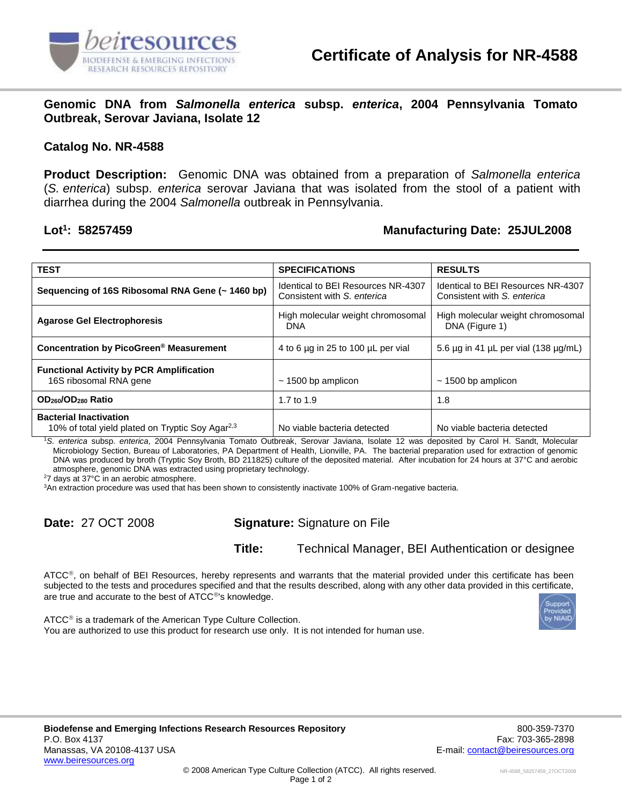

**Genomic DNA from** *Salmonella enterica* **subsp.** *enterica***, 2004 Pennsylvania Tomato Outbreak, Serovar Javiana, Isolate 12**

## **Catalog No. NR-4588**

**Product Description:** Genomic DNA was obtained from a preparation of *Salmonella enterica* (*S. enterica*) subsp. *enterica* serovar Javiana that was isolated from the stool of a patient with diarrhea during the 2004 *Salmonella* outbreak in Pennsylvania.

## Lot<sup>1</sup>: 58257459

## **: 58257459 Manufacturing Date: 25JUL2008**

| <b>TEST</b>                                                                                   | <b>SPECIFICATIONS</b>                                             | <b>RESULTS</b>                                                    |
|-----------------------------------------------------------------------------------------------|-------------------------------------------------------------------|-------------------------------------------------------------------|
| Sequencing of 16S Ribosomal RNA Gene (~ 1460 bp)                                              | Identical to BEI Resources NR-4307<br>Consistent with S. enterica | Identical to BEI Resources NR-4307<br>Consistent with S. enterica |
| <b>Agarose Gel Electrophoresis</b>                                                            | High molecular weight chromosomal<br><b>DNA</b>                   | High molecular weight chromosomal<br>DNA (Figure 1)               |
| Concentration by PicoGreen <sup>®</sup> Measurement                                           | 4 to 6 µg in 25 to 100 µL per vial                                | 5.6 $\mu$ g in 41 $\mu$ L per vial (138 $\mu$ g/mL)               |
| <b>Functional Activity by PCR Amplification</b><br>16S ribosomal RNA gene                     | $\sim$ 1500 bp amplicon                                           | $\sim$ 1500 bp amplicon                                           |
| OD <sub>260</sub> /OD <sub>280</sub> Ratio                                                    | 1.7 to 1.9                                                        | 1.8                                                               |
| <b>Bacterial Inactivation</b><br>10% of total yield plated on Tryptic Soy Agar <sup>2,3</sup> | No viable bacteria detected                                       | No viable bacteria detected                                       |

<sup>1</sup>*S. enterica* subsp. *enterica*, 2004 Pennsylvania Tomato Outbreak, Serovar Javiana, Isolate 12 was deposited by Carol H. Sandt, Molecular Microbiology Section, Bureau of Laboratories, PA Department of Health, Lionville, PA. The bacterial preparation used for extraction of genomic DNA was produced by broth (Tryptic Soy Broth, BD 211825) culture of the deposited material. After incubation for 24 hours at 37°C and aerobic atmosphere, genomic DNA was extracted using proprietary technology.

<sup>2</sup>7 days at 37°C in an aerobic atmosphere.

<sup>3</sup>An extraction procedure was used that has been shown to consistently inactivate 100% of Gram-negative bacteria.

**Date:** 27 OCT 2008 **Signature:** Signature on File

**Title:** Technical Manager, BEI Authentication or designee

ATCC®, on behalf of BEI Resources, hereby represents and warrants that the material provided under this certificate has been subjected to the tests and procedures specified and that the results described, along with any other data provided in this certificate, are true and accurate to the best of ATCC®'s knowledge.

 $ATCC<sup>®</sup>$  is a trademark of the American Type Culture Collection. You are authorized to use this product for research use only. It is not intended for human use.